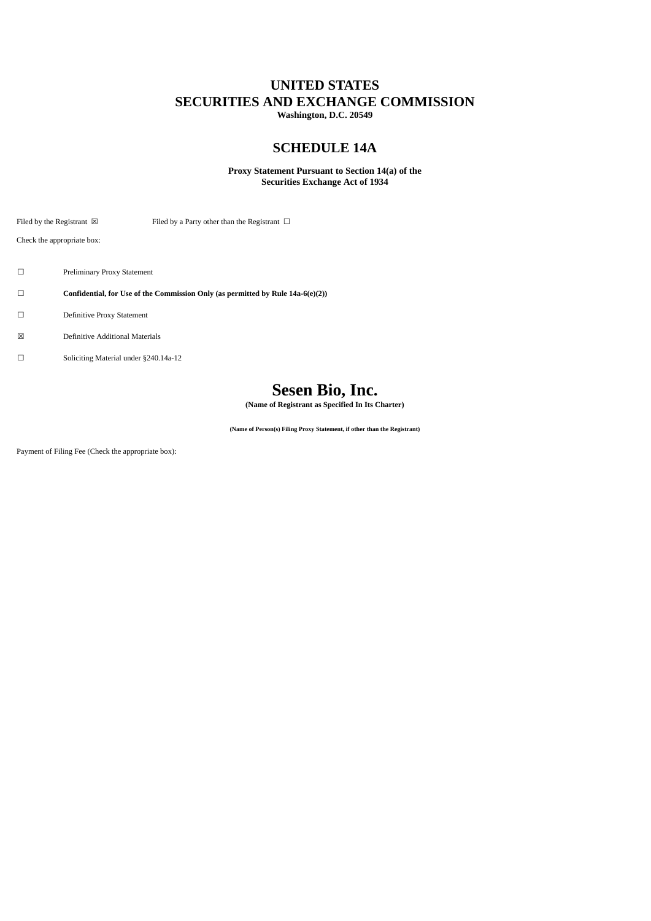## **UNITED STATES SECURITIES AND EXCHANGE COMMISSION**

**Washington, D.C. 20549**

## **SCHEDULE 14A**

### **Proxy Statement Pursuant to Section 14(a) of the Securities Exchange Act of 1934**

Filed by the Registrant  $\boxtimes$  Filed by a Party other than the Registrant  $\Box$ 

Check the appropriate box:

- ☐ Preliminary Proxy Statement
- ☐ **Confidential, for Use of the Commission Only (as permitted by Rule 14a-6(e)(2))**
- ☐ Definitive Proxy Statement
- ☒ Definitive Additional Materials
- ☐ Soliciting Material under §240.14a-12

# **Sesen Bio, Inc.**

**(Name of Registrant as Specified In Its Charter)**

**(Name of Person(s) Filing Proxy Statement, if other than the Registrant)**

Payment of Filing Fee (Check the appropriate box):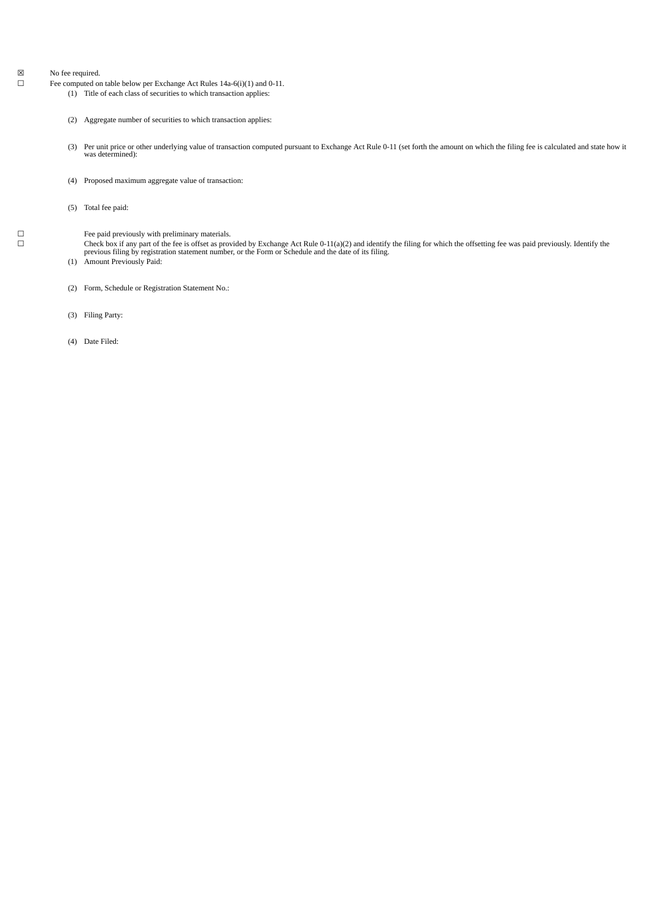$\boxtimes$  No fee required.<br>  $\Box$  Fee computed or

- Fee computed on table below per Exchange Act Rules 14a-6(i)(1) and 0-11.
	- (1) Title of each class of securities to which transaction applies:
	- (2) Aggregate number of securities to which transaction applies:
	- (3) Per unit price or other underlying value of transaction computed pursuant to Exchange Act Rule 0-11 (set forth the amount on which the filing fee is calculated and state how it was determined):
	- (4) Proposed maximum aggregate value of transaction:
	- (5) Total fee paid:

 $□$  Fee paid previously with preliminary materials.<br> $□$  Check box if any part of the fee is offset as prov

 $\Box$  Check box if any part of the fee is offset as provided by Exchange Act Rule 0-11(a)(2) and identify the filing for which the offsetting fee was paid previously. Identify the previous filing by registration statement

- (1) Amount Previously Paid:
- (2) Form, Schedule or Registration Statement No.:
- (3) Filing Party:
- (4) Date Filed: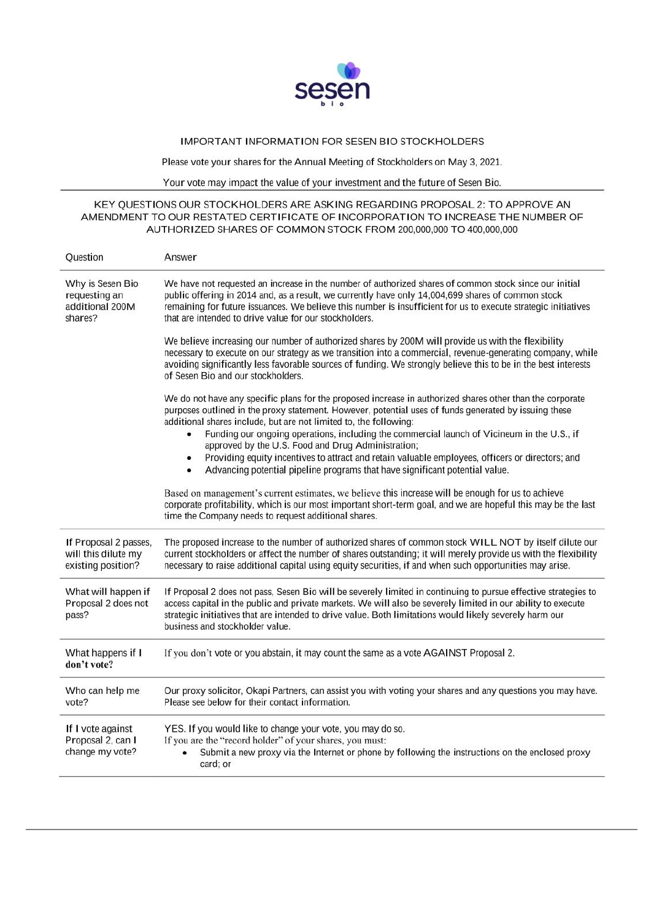

## IMPORTANT INFORMATION FOR SESEN BIO STOCKHOLDERS

Please vote your shares for the Annual Meeting of Stockholders on May 3, 2021.

Your vote may impact the value of your investment and the future of Sesen Bio.

### KEY QUESTIONS OUR STOCKHOLDERS ARE ASKING REGARDING PROPOSAL 2: TO APPROVE AN AMENDMENT TO OUR RESTATED CERTIFICATE OF INCORPORATION TO INCREASE THE NUMBER OF AUTHORIZED SHARES OF COMMON STOCK FROM 200,000,000 TO 400,000,000

| Question                                                           | Answer                                                                                                                                                                                                                                                                                                                                                                                   |
|--------------------------------------------------------------------|------------------------------------------------------------------------------------------------------------------------------------------------------------------------------------------------------------------------------------------------------------------------------------------------------------------------------------------------------------------------------------------|
| Why is Sesen Bio<br>requesting an<br>additional 200M<br>shares?    | We have not requested an increase in the number of authorized shares of common stock since our initial<br>public offering in 2014 and, as a result, we currently have only 14,004,699 shares of common stock<br>remaining for future issuances. We believe this number is insufficient for us to execute strategic initiatives<br>that are intended to drive value for our stockholders. |
|                                                                    | We believe increasing our number of authorized shares by 200M will provide us with the flexibility<br>necessary to execute on our strategy as we transition into a commercial, revenue-generating company, while<br>avoiding significantly less favorable sources of funding. We strongly believe this to be in the best interests<br>of Sesen Bio and our stockholders.                 |
|                                                                    | We do not have any specific plans for the proposed increase in authorized shares other than the corporate<br>purposes outlined in the proxy statement. However, potential uses of funds generated by issuing these<br>additional shares include, but are not limited to, the following:                                                                                                  |
|                                                                    | Funding our ongoing operations, including the commercial launch of Vicineum in the U.S., if<br>approved by the U.S. Food and Drug Administration;                                                                                                                                                                                                                                        |
|                                                                    | Providing equity incentives to attract and retain valuable employees, officers or directors; and<br>$\bullet$                                                                                                                                                                                                                                                                            |
|                                                                    | Advancing potential pipeline programs that have significant potential value.<br>٠                                                                                                                                                                                                                                                                                                        |
|                                                                    | Based on management's current estimates, we believe this increase will be enough for us to achieve<br>corporate profitability, which is our most important short-term goal, and we are hopeful this may be the last<br>time the Company needs to request additional shares.                                                                                                              |
| If Proposal 2 passes,<br>will this dilute my<br>existing position? | The proposed increase to the number of authorized shares of common stock WILL NOT by itself dilute our<br>current stockholders or affect the number of shares outstanding; it will merely provide us with the flexibility<br>necessary to raise additional capital using equity securities, if and when such opportunities may arise.                                                    |
| What will happen if<br>Proposal 2 does not<br>pass?                | If Proposal 2 does not pass, Sesen Bio will be severely limited in continuing to pursue effective strategies to<br>access capital in the public and private markets. We will also be severely limited in our ability to execute<br>strategic initiatives that are intended to drive value. Both limitations would likely severely harm our<br>business and stockholder value.            |
| What happens if I<br>don't vote?                                   | If you don't vote or you abstain, it may count the same as a vote AGAINST Proposal 2.                                                                                                                                                                                                                                                                                                    |
| Who can help me<br>vote?                                           | Our proxy solicitor, Okapi Partners, can assist you with voting your shares and any questions you may have.<br>Please see below for their contact information.                                                                                                                                                                                                                           |
| If I vote against<br>Proposal 2, can I<br>change my vote?          | YES. If you would like to change your vote, you may do so.<br>If you are the "record holder" of your shares, you must:<br>Submit a new proxy via the Internet or phone by following the instructions on the enclosed proxy<br>٠<br>card; or                                                                                                                                              |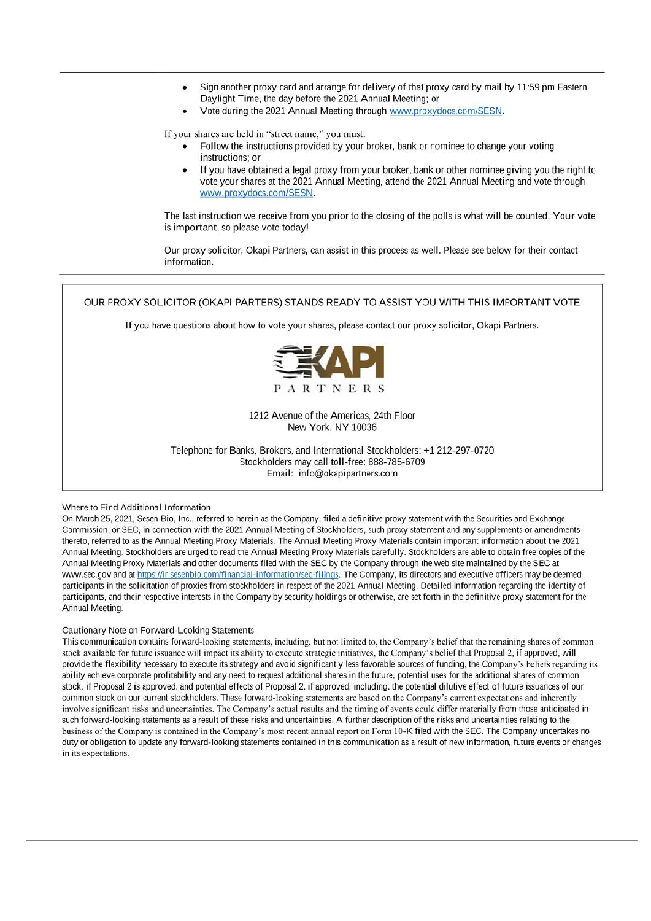- Sign another proxy card and arrange for delivery of that proxy card by mail by 11:59 pm Eastern Daylight Time, the day before the 2021 Annual Meeting; or
- Vote during the 2021 Annual Meeting through www.proxydocs.com/SESN.

If your shares are held in "street name," you must:

- Follow the instructions provided by your broker, bank or nominee to change your voting instructions: or
- If you have obtained a legal proxy from your broker, bank or other nominee giving you the right to vote your shares at the 2021 Annual Meeting, attend the 2021 Annual Meeting and vote through www.proxydocs.com/SESN.

The last instruction we receive from you prior to the closing of the polls is what will be counted. Your vote is important, so please vote today!

Our proxy solicitor, Okapi Partners, can assist in this process as well. Please see below for their contact information.



#### Where to Find Additional Information

On March 25, 2021, Sesen Bio, Inc., referred to herein as the Company, filed a definitive proxy statement with the Securities and Exchange Commission, or SEC, in connection with the 2021 Annual Meeting of Stockholders, such proxy statement and any supplements or amendments thereto, referred to as the Annual Meeting Proxy Materials. The Annual Meeting Proxy Materials contain important information about the 2021 Annual Meeting. Stockholders are urged to read the Annual Meeting Proxy Materials carefully. Stockholders are able to obtain free copies of the Annual Meeting Proxy Materials and other documents filed with the SEC by the Company through the web site maintained by the SEC at www.sec.gov and at https://ir.sesenbio.com/financial-information/sec-filings. The Company, its directors and executive officers may be deemed participants in the solicitation of proxies from stockholders in respect of the 2021 Annual Meeting. Detailed information regarding the identity of participants, and their respective interests in the Company by security holdings or otherwise, are set forth in the definitive proxy statement for the Annual Meeting.

#### Cautionary Note on Forward-Looking Statements

This communication contains forward-looking statements, including, but not limited to, the Company's belief that the remaining shares of common stock available for future issuance will impact its ability to execute strategic initiatives, the Company's belief that Proposal 2, if approved, will provide the flexibility necessary to execute its strategy and avoid significantly less favorable sources of funding, the Company's beliefs regarding its ability achieve corporate profitability and any need to request additional shares in the future, potential uses for the additional shares of common stock, if Proposal 2 is approved, and potential effects of Proposal 2, if approved, including, the potential dilutive effect of future issuances of our common stock on our current stockholders. These forward-looking statements are based on the Company's current expectations and inherently involve significant risks and uncertainties. The Company's actual results and the timing of events could differ materially from those anticipated in such forward-looking statements as a result of these risks and uncertainties. A further description of the risks and uncertainties relating to the business of the Company is contained in the Company's most recent annual report on Form 10-K filed with the SEC. The Company undertakes no duty or obligation to update any forward-looking statements contained in this communication as a result of new information, future events or changes in its expectations.